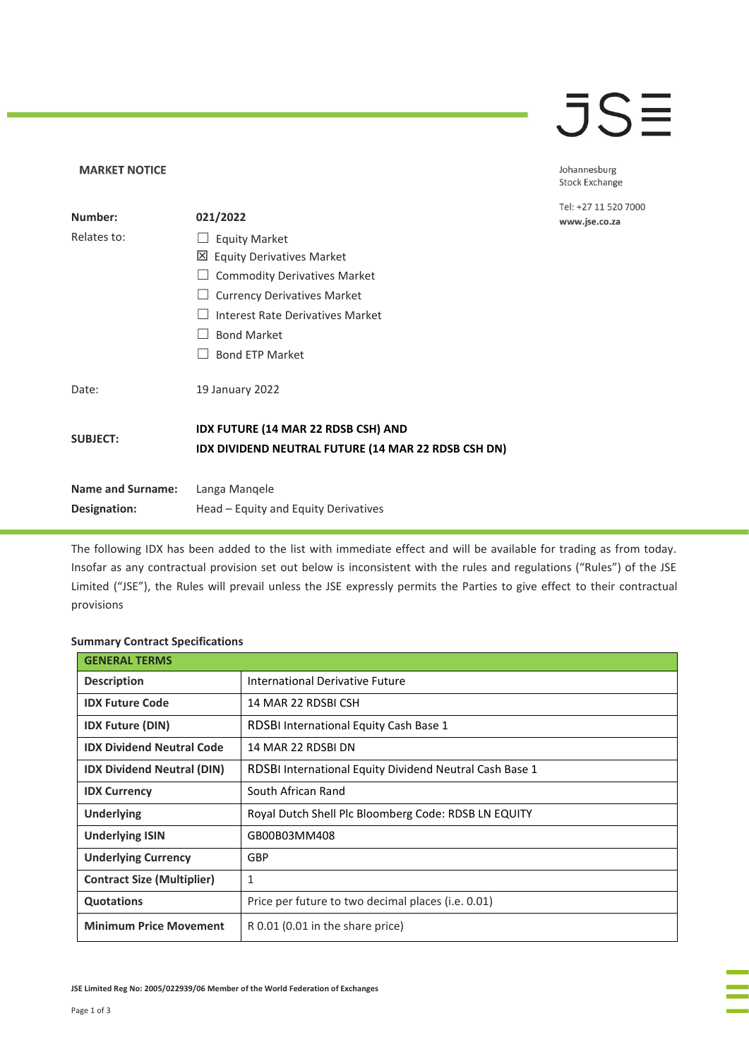## **JSE**

Johannesburg Stock Exchange

Tel: +27 11 520 7000 www.jse.co.za

| Number:                  | 021/2022                                                                                          |
|--------------------------|---------------------------------------------------------------------------------------------------|
| Relates to:              | <b>Equity Market</b>                                                                              |
|                          | 凶 Equity Derivatives Market                                                                       |
|                          | <b>Commodity Derivatives Market</b>                                                               |
|                          | <b>Currency Derivatives Market</b>                                                                |
|                          | Interest Rate Derivatives Market                                                                  |
|                          | <b>Bond Market</b>                                                                                |
|                          | <b>Bond ETP Market</b>                                                                            |
| Date:                    | 19 January 2022                                                                                   |
| <b>SUBJECT:</b>          | <b>IDX FUTURE (14 MAR 22 RDSB CSH) AND</b><br>IDX DIVIDEND NEUTRAL FUTURE (14 MAR 22 RDSB CSH DN) |
| <b>Name and Surname:</b> | Langa Mangele                                                                                     |
| Designation:             | Head – Equity and Equity Derivatives                                                              |

The following IDX has been added to the list with immediate effect and will be available for trading as from today. Insofar as any contractual provision set out below is inconsistent with the rules and regulations ("Rules") of the JSE Limited ("JSE"), the Rules will prevail unless the JSE expressly permits the Parties to give effect to their contractual provisions

## **Summary Contract Specifications**

**MARKET NOTICE** 

| <b>GENERAL TERMS</b>              |                                                         |
|-----------------------------------|---------------------------------------------------------|
| <b>Description</b>                | International Derivative Future                         |
| <b>IDX Future Code</b>            | 14 MAR 22 RDSBI CSH                                     |
| <b>IDX Future (DIN)</b>           | <b>RDSBI International Equity Cash Base 1</b>           |
| <b>IDX Dividend Neutral Code</b>  | 14 MAR 22 RDSBI DN                                      |
| <b>IDX Dividend Neutral (DIN)</b> | RDSBI International Equity Dividend Neutral Cash Base 1 |
| <b>IDX Currency</b>               | South African Rand                                      |
| <b>Underlying</b>                 | Royal Dutch Shell Plc Bloomberg Code: RDSB LN EQUITY    |
| <b>Underlying ISIN</b>            | GB00B03MM408                                            |
| <b>Underlying Currency</b>        | GBP                                                     |
| <b>Contract Size (Multiplier)</b> | 1                                                       |
| <b>Quotations</b>                 | Price per future to two decimal places (i.e. 0.01)      |
| <b>Minimum Price Movement</b>     | $R$ 0.01 (0.01 in the share price)                      |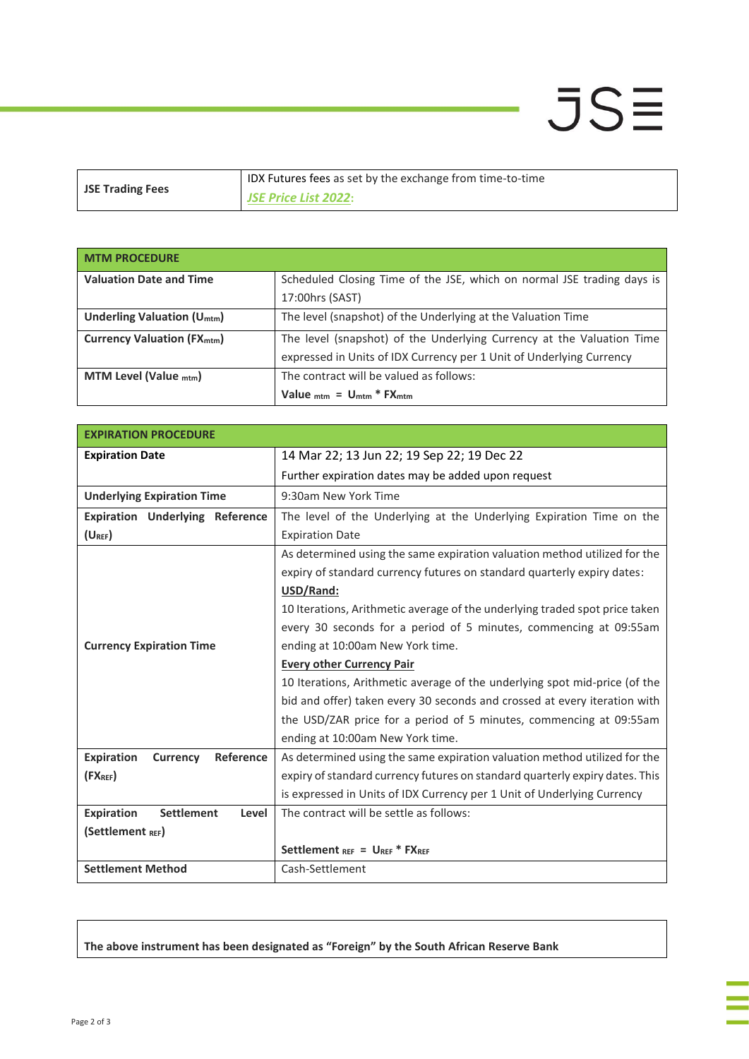## $JS\equiv$

| <b>JSE Trading Fees</b> | IDX Futures fees as set by the exchange from time-to-time |
|-------------------------|-----------------------------------------------------------|
|                         | <b>JSE Price List 2022:</b>                               |

| <b>MTM PROCEDURE</b>                         |                                                                        |
|----------------------------------------------|------------------------------------------------------------------------|
| <b>Valuation Date and Time</b>               | Scheduled Closing Time of the JSE, which on normal JSE trading days is |
|                                              | 17:00hrs (SAST)                                                        |
| Underling Valuation $(U_{\text{mtm}})$       | The level (snapshot) of the Underlying at the Valuation Time           |
| <b>Currency Valuation (FX<sub>mtm</sub>)</b> | The level (snapshot) of the Underlying Currency at the Valuation Time  |
|                                              | expressed in Units of IDX Currency per 1 Unit of Underlying Currency   |
| MTM Level (Value $_{\text{mtm}}$ )           | The contract will be valued as follows:                                |
|                                              | Value $_{\text{mtm}}$ = $\frac{U_{\text{mtm}}}{T}$ FX $_{\text{mtm}}$  |

| <b>EXPIRATION PROCEDURE</b>                       |                                                                              |  |  |
|---------------------------------------------------|------------------------------------------------------------------------------|--|--|
| <b>Expiration Date</b>                            | 14 Mar 22; 13 Jun 22; 19 Sep 22; 19 Dec 22                                   |  |  |
|                                                   | Further expiration dates may be added upon request                           |  |  |
| <b>Underlying Expiration Time</b>                 | 9:30am New York Time                                                         |  |  |
| <b>Expiration Underlying Reference</b>            | The level of the Underlying at the Underlying Expiration Time on the         |  |  |
| $(U_{REF})$                                       | <b>Expiration Date</b>                                                       |  |  |
|                                                   | As determined using the same expiration valuation method utilized for the    |  |  |
|                                                   | expiry of standard currency futures on standard quarterly expiry dates:      |  |  |
|                                                   | USD/Rand:                                                                    |  |  |
|                                                   | 10 Iterations, Arithmetic average of the underlying traded spot price taken  |  |  |
|                                                   | every 30 seconds for a period of 5 minutes, commencing at 09:55am            |  |  |
| <b>Currency Expiration Time</b>                   | ending at 10:00am New York time.                                             |  |  |
|                                                   | <b>Every other Currency Pair</b>                                             |  |  |
|                                                   | 10 Iterations, Arithmetic average of the underlying spot mid-price (of the   |  |  |
|                                                   | bid and offer) taken every 30 seconds and crossed at every iteration with    |  |  |
|                                                   | the USD/ZAR price for a period of 5 minutes, commencing at 09:55am           |  |  |
|                                                   | ending at 10:00am New York time.                                             |  |  |
| <b>Expiration</b><br>Reference<br><b>Currency</b> | As determined using the same expiration valuation method utilized for the    |  |  |
| $(FX_{REF})$                                      | expiry of standard currency futures on standard quarterly expiry dates. This |  |  |
|                                                   | is expressed in Units of IDX Currency per 1 Unit of Underlying Currency      |  |  |
| <b>Expiration</b><br><b>Settlement</b><br>Level   | The contract will be settle as follows:                                      |  |  |
| (Settlement REF)                                  |                                                                              |  |  |
|                                                   | Settlement REF = UREF * FXREF                                                |  |  |
| <b>Settlement Method</b>                          | Cash-Settlement                                                              |  |  |

**The above instrument has been designated as "Foreign" by the South African Reserve Bank**